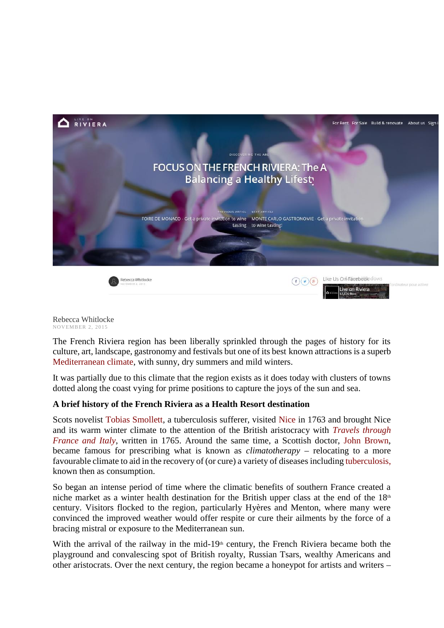

Rebecca Whitlocke Rebecca Whitlocke<br>NOVEMBER 2, 2015

The French Riviera region has been liberally sprinkled through the pages of history for its culture, art, landscape, gastronomy and festivals but one of its best known attractions is a superb Mediterranean climate, with sunny, dry summers and mild winters.

It was partially due to this climate that the region exists as it does today with clusters of towns dotted along the coast vying for prime positions to capture the joys of the sun and sea.

# **A brief history of the French Riviera as a Health Resort destination**

Scots novelist Tobias Smollett, a tuberculosis sufferer, visited Nice in 1763 and brought Nice and its warm winter climate to the attention of the British aristocracy with *Travels through France and Italy*, written in 1765. Around the same time, a Scottish doctor, John Brown, became famous for prescribing what is known as *climatotherapy* – relocating to a more favourable climate to aid in the recovery of (or cure) a variety of diseases including tuberculosis, known then as consumption.

So began an intense period of time where the climatic benefits of southern France created a niche market as a winter health destination for the British upper class at the end of the  $18<sup>th</sup>$ century. Visitors flocked to the region, particularly Hyères and Menton, where many were convinced the improved weather would offer respite or cure their ailments by the force of a bracing mistral or exposure to the Mediterranean sun.

With the arrival of the railway in the mid-19<sup>th</sup> century, the French Riviera became both the playground and convalescing spot of British royalty, Russian Tsars, wealthy Americans and other aristocrats. Over the next century, the region became a honeypot for artists and writers –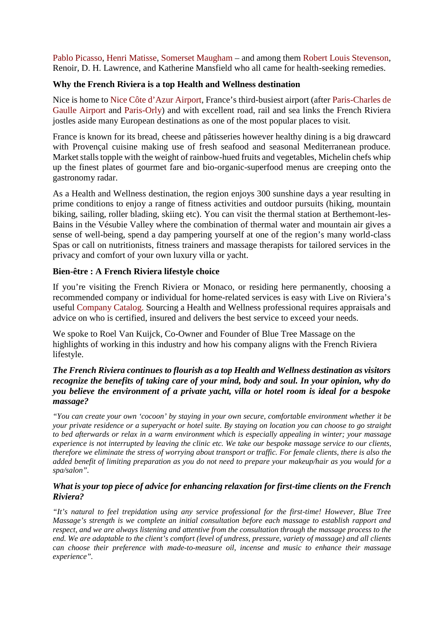Pablo Picasso, Henri Matisse, Somerset Maugham – and among them Robert Louis Stevenson, Renoir, D. H. Lawrence, and Katherine Mansfield who all came for health-seeking remedies.

## **Why the French Riviera is a top Health and Wellness destination**

Nice is home to Nice Côte d'Azur Airport, France's third-busiest airport (after Paris-Charles de Gaulle Airport and Paris-Orly) and with excellent road, rail and sea links the French Riviera jostles aside many European destinations as one of the most popular places to visit.

France is known for its bread, cheese and pâtisseries however healthy dining is a big drawcard with Provençal cuisine making use of fresh seafood and seasonal Mediterranean produce. Market stalls topple with the weight of rainbow-hued fruits and vegetables, Michelin chefs whip up the finest plates of gourmet fare and bio-organic-superfood menus are creeping onto the gastronomy radar.

As a Health and Wellness destination, the region enjoys 300 sunshine days a year resulting in prime conditions to enjoy a range of fitness activities and outdoor pursuits (hiking, mountain biking, sailing, roller blading, skiing etc). You can visit the thermal station at Berthemont-les- Bains in the Vésubie Valley where the combination of thermal water and mountain air gives a sense of well-being, spend a day pampering yourself at one of the region's many world-class Spas or call on nutritionists, fitness trainers and massage therapists for tailored services in the privacy and comfort of your own luxury villa or yacht.

### **Bien-être : A French Riviera lifestyle choice**

If you're visiting the French Riviera or Monaco, or residing here permanently, choosing a recommended company or individual for home-related services is easy with Live on Riviera's useful Company Catalog. Sourcing a Health and Wellness professional requires appraisals and advice on who is certified, insured and delivers the best service to exceed your needs.

We spoke to Roel Van Kuijck, Co-Owner and Founder of Blue Tree Massage on the highlights of working in this industry and how his company aligns with the French Riviera lifestyle.

### *The French Riviera continues to flourish as a top Health and Wellness destination as visitors recognize the benefits of taking care of your mind, body and soul. In your opinion, why do you believe the environment of a private yacht, villa or hotel room is ideal for a bespoke massage?*

*"You can create your own 'cocoon' by staying in your own secure, comfortable environment whether it be your private residence or a superyacht or hotel suite. By staying on location you can choose to go straight to bed afterwards or relax in a warm environment which is especially appealing in winter; your massage experience is not interrupted by leaving the clinic etc. We take our bespoke massage service to our clients, therefore we eliminate the stress of worrying about transport or traffic. For female clients, there is also the added benefit of limiting preparation as you do not need to prepare your makeup/hair as you would for a spa/salon".*

#### *What is your top piece of advice for enhancing relaxation for first-time clients on the French Riviera?*

"It's natural to feel trepidation using any service professional for the first-time! However, Blue Tree *Massage's strength is we complete an initial consultation before each massage to establish rapport and respect, and we are always listening and attentive from the consultation through the massage process to the end. We are adaptable to the client's comfort (level of undress, pressure, variety of massage) and all clients can choose their preference with made-to-measure oil, incense and music to enhance their massage experience".*